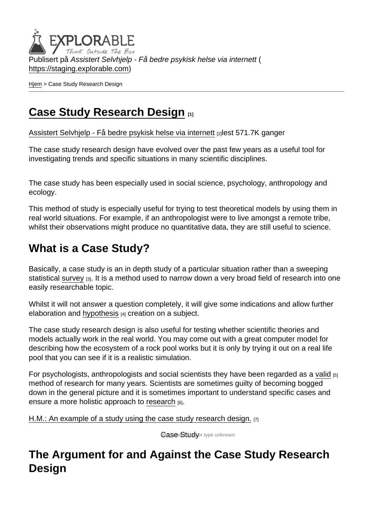Publisert på Assistert Selvhjelp - Få bedre psykisk helse via internett ( <https://staging.explorable.com>)

[Hjem](https://staging.explorable.com/) > Case Study Research Design

# [Case Study Research Design](https://staging.explorable.com/node/605) [1]

[Assistert Selvhjelp - Få bedre psykisk helse via internett](https://staging.explorable.com/en) [2]lest 571.7K ganger

The case study research design have evolved over the past few years as a useful tool for investigating trends and specific situations in many scientific disciplines.

The case study has been especially used in social science, psychology, anthropology and ecology.

This method of study is especially useful for trying to test theoretical models by using them in real world situations. For example, if an anthropologist were to live amongst a remote tribe, whilst their observations might produce no quantitative data, they are still useful to science.

# What is a Case Study?

Basically, a case study is an in depth study of a particular situation rather than a sweeping statistical [survey](https://staging.explorable.com/survey-research-design) [3]. It is a method used to narrow down a very broad field of research into one easily researchable topic.

Whilst it will not answer a question completely, it will give some indications and allow further elaboration and [hypothesis](https://staging.explorable.com/research-hypothesis) [4] creation on a subject.

The case study research design is also useful for testing whether scientific theories and models actually work in the real world. You may come out with a great computer model for describing how the ecosystem of a rock pool works but it is only by trying it out on a real life pool that you can see if it is a realistic simulation.

For psychologists, anthropologists and social scientists they have been regarded as a [valid](https://staging.explorable.com/validity-and-reliability) [5] method of research for many years. Scientists are sometimes guilty of becoming bogged down in the general picture and it is sometimes important to understand specific cases and ensure a more holistic approach to [research](https://staging.explorable.com/what-is-research) [6].

[H.M.: An example of a study using the case study research design.](https://en.wikipedia.org/wiki/Henry_Molaison)  $[7]$ 

**Gase Study** or type unknown

## The Argument for and Against the Case Study Research **Design**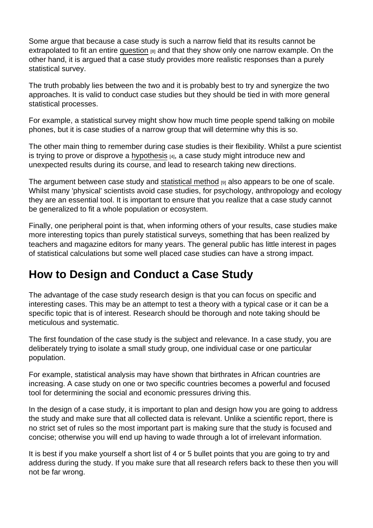Some argue that because a case study is such a narrow field that its results cannot be extrapolated to fit an entire [question](https://staging.explorable.com/research-paper-question)  $_{[8]}$  and that they show only one narrow example. On the other hand, it is argued that a case study provides more realistic responses than a purely statistical survey.

The truth probably lies between the two and it is probably best to try and synergize the two approaches. It is valid to conduct case studies but they should be tied in with more general statistical processes.

For example, a statistical survey might show how much time people spend talking on mobile phones, but it is case studies of a narrow group that will determine why this is so.

The other main thing to remember during case studies is their flexibility. Whilst a pure scientist is trying to prove or disprove a [hypothesis](https://staging.explorable.com/research-hypothesis)  $[4]$ , a case study might introduce new and unexpected results during its course, and lead to research taking new directions.

The argument between case study and [statistical method](https://staging.explorable.com/statistics-tutorial) [9] also appears to be one of scale. Whilst many 'physical' scientists avoid case studies, for psychology, anthropology and ecology they are an essential tool. It is important to ensure that you realize that a case study cannot be generalized to fit a whole population or ecosystem.

Finally, one peripheral point is that, when informing others of your results, case studies make more interesting topics than purely statistical surveys, something that has been realized by teachers and magazine editors for many years. The general public has little interest in pages of statistical calculations but some well placed case studies can have a strong impact.

#### How to Design and Conduct a Case Study

The advantage of the case study research design is that you can focus on specific and interesting cases. This may be an attempt to test a theory with a typical case or it can be a specific topic that is of interest. Research should be thorough and note taking should be meticulous and systematic.

The first foundation of the case study is the subject and relevance. In a case study, you are deliberately trying to isolate a small study group, one individual case or one particular population.

For example, statistical analysis may have shown that birthrates in African countries are increasing. A case study on one or two specific countries becomes a powerful and focused tool for determining the social and economic pressures driving this.

In the design of a case study, it is important to plan and design how you are going to address the study and make sure that all collected data is relevant. Unlike a scientific report, there is no strict set of rules so the most important part is making sure that the study is focused and concise; otherwise you will end up having to wade through a lot of irrelevant information.

It is best if you make yourself a short list of 4 or 5 bullet points that you are going to try and address during the study. If you make sure that all research refers back to these then you will not be far wrong.